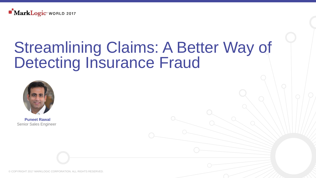

# Streamlining Claims: A Better Way of Detecting Insurance Fraud



**Puneet Rawal** Senior Sales Engineer

© COPYRIGHT 2017 MARKLOGIC CORPORATION. ALL RIGHTS RESERVED.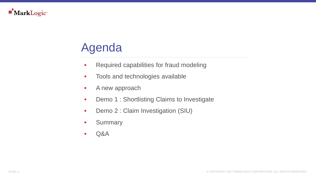

## Agenda

- **-** Required capabilities for fraud modeling
- **Tools and technologies available**
- **A** new approach
- **-** Demo 1 : Shortlisting Claims to Investigate
- **-** Demo 2 : Claim Investigation (SIU)
- **Summary**
- Q&A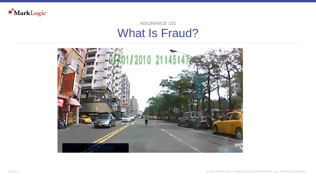

#### What Is Fraud? INSURANCE 101

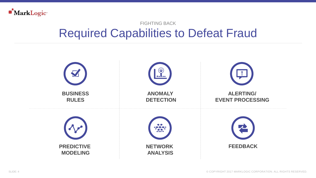

### Required Capabilities to Defeat Fraud FIGHTING BACK

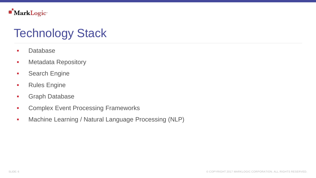

### Technology Stack

- **Database**
- **-** Metadata Repository
- **Search Engine**
- **Rules Engine**
- **Graph Database**
- **Complex Event Processing Frameworks**
- **Machine Learning / Natural Language Processing (NLP)**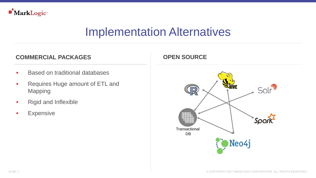

### Implementation Alternatives

#### **COMMERCIAL PACKAGES OPEN SOURCE**

- **Based on traditional databases**
- **Requires Huge amount of ETL and** Mapping
- Rigid and Inflexible
- **Expensive**

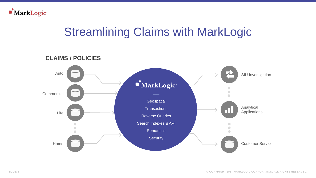

### Streamlining Claims with MarkLogic

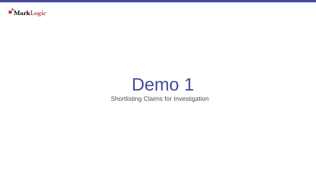

# Demo 1

Shortlisting Claims for Investigation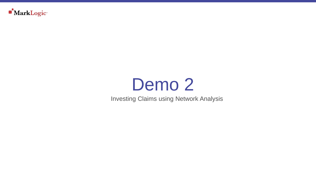

# Demo<sub>2</sub>

Investing Claims using Network Analysis